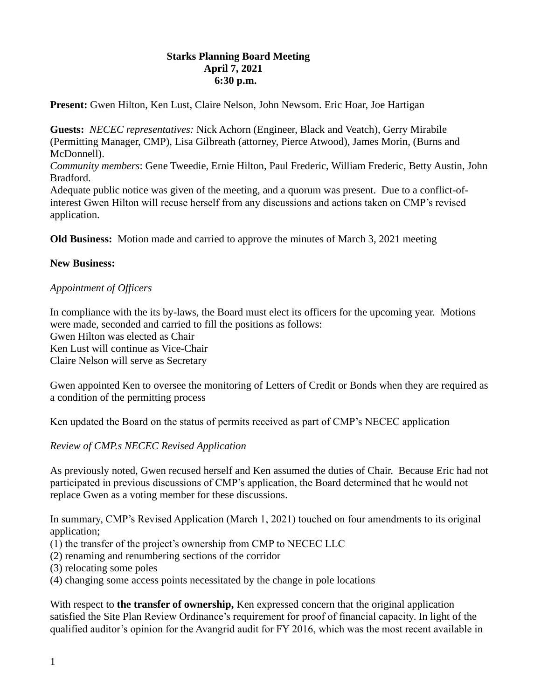# **Starks Planning Board Meeting April 7, 2021 6:30 p.m.**

**Present:** Gwen Hilton, Ken Lust, Claire Nelson, John Newsom. Eric Hoar, Joe Hartigan

**Guests:** *NECEC representatives:* Nick Achorn (Engineer, Black and Veatch), Gerry Mirabile (Permitting Manager, CMP), Lisa Gilbreath (attorney, Pierce Atwood), James Morin, (Burns and McDonnell).

*Community members*: Gene Tweedie, Ernie Hilton, Paul Frederic, William Frederic, Betty Austin, John Bradford.

Adequate public notice was given of the meeting, and a quorum was present. Due to a conflict-ofinterest Gwen Hilton will recuse herself from any discussions and actions taken on CMP's revised application.

**Old Business:** Motion made and carried to approve the minutes of March 3, 2021 meeting

#### **New Business:**

#### *Appointment of Officers*

In compliance with the its by-laws, the Board must elect its officers for the upcoming year. Motions were made, seconded and carried to fill the positions as follows:

Gwen Hilton was elected as Chair

Ken Lust will continue as Vice-Chair

Claire Nelson will serve as Secretary

Gwen appointed Ken to oversee the monitoring of Letters of Credit or Bonds when they are required as a condition of the permitting process

Ken updated the Board on the status of permits received as part of CMP's NECEC application

## *Review of CMP.s NECEC Revised Application*

As previously noted, Gwen recused herself and Ken assumed the duties of Chair. Because Eric had not participated in previous discussions of CMP's application, the Board determined that he would not replace Gwen as a voting member for these discussions.

In summary, CMP's Revised Application (March 1, 2021) touched on four amendments to its original application;

- (1) the transfer of the project's ownership from CMP to NECEC LLC
- (2) renaming and renumbering sections of the corridor
- (3) relocating some poles
- (4) changing some access points necessitated by the change in pole locations

With respect to **the transfer of ownership**, Ken expressed concern that the original application satisfied the Site Plan Review Ordinance's requirement for proof of financial capacity. In light of the qualified auditor's opinion for the Avangrid audit for FY 2016, which was the most recent available in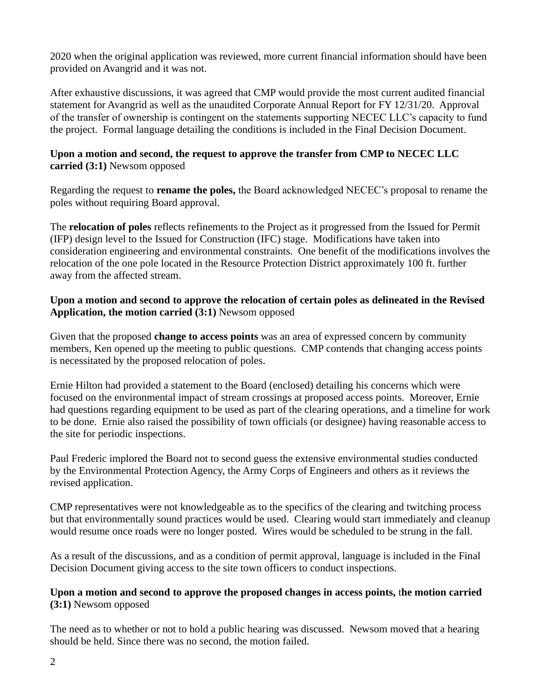2020 when the original application was reviewed, more current financial information should have been provided on Avangrid and it was not.

After exhaustive discussions, it was agreed that CMP would provide the most current audited financial statement for Avangrid as well as the unaudited Corporate Annual Report for FY 12/31/20. Approval of the transfer of ownership is contingent on the statements supporting NECEC LLC's capacity to fund the project. Formal language detailing the conditions is included in the Final Decision Document.

## **Upon a motion and second, the request to approve the transfer from CMP to NECEC LLC carried (3:1)** Newsom opposed

Regarding the request to **rename the poles,** the Board acknowledged NECEC's proposal to rename the poles without requiring Board approval.

The **relocation of poles** reflects refinements to the Project as it progressed from the Issued for Permit (IFP) design level to the Issued for Construction (IFC) stage. Modifications have taken into consideration engineering and environmental constraints. One benefit of the modifications involves the relocation of the one pole located in the Resource Protection District approximately 100 ft. further away from the affected stream.

# **Upon a motion and second to approve the relocation of certain poles as delineated in the Revised Application, the motion carried (3:1)** Newsom opposed

Given that the proposed **change to access points** was an area of expressed concern by community members, Ken opened up the meeting to public questions. CMP contends that changing access points is necessitated by the proposed relocation of poles.

Ernie Hilton had provided a statement to the Board (enclosed) detailing his concerns which were focused on the environmental impact of stream crossings at proposed access points. Moreover, Ernie had questions regarding equipment to be used as part of the clearing operations, and a timeline for work to be done. Ernie also raised the possibility of town officials (or designee) having reasonable access to the site for periodic inspections.

Paul Frederic implored the Board not to second guess the extensive environmental studies conducted by the Environmental Protection Agency, the Army Corps of Engineers and others as it reviews the revised application.

CMP representatives were not knowledgeable as to the specifics of the clearing and twitching process but that environmentally sound practices would be used. Clearing would start immediately and cleanup would resume once roads were no longer posted. Wires would be scheduled to be strung in the fall.

As a result of the discussions, and as a condition of permit approval, language is included in the Final Decision Document giving access to the site town officers to conduct inspections.

## **Upon a motion and second to approve the proposed changes in access points,** t**he motion carried (3:1)** Newsom opposed

The need as to whether or not to hold a public hearing was discussed. Newsom moved that a hearing should be held. Since there was no second, the motion failed.